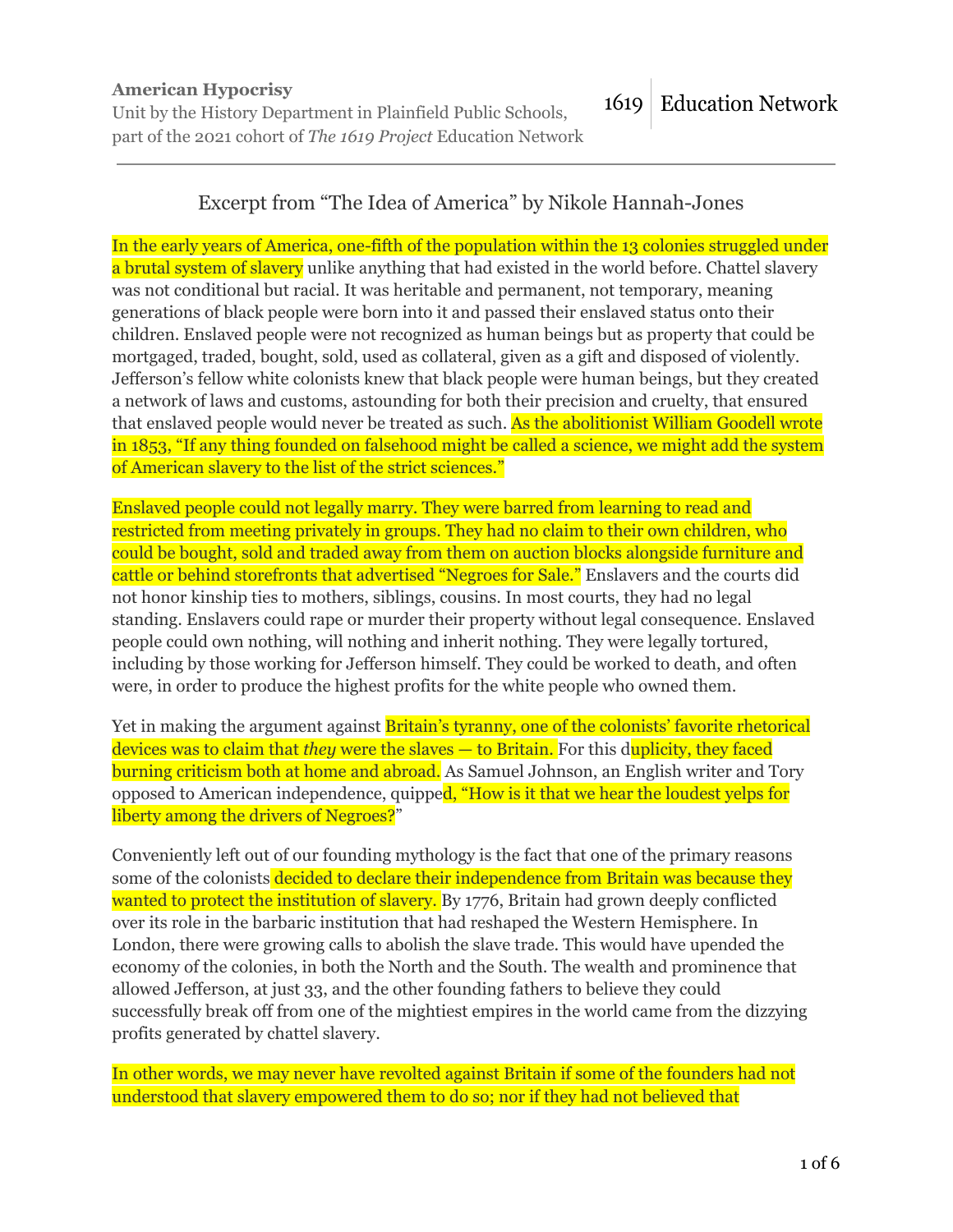# Excerpt from "The Idea of America" by Nikole Hannah-Jones

In the early years of America, one-fifth of the population within the 13 colonies struggled under a brutal system of slavery unlike anything that had existed in the world before. Chattel slavery was not conditional but racial. It was heritable and permanent, not temporary, meaning generations of black people were born into it and passed their enslaved status onto their children. Enslaved people were not recognized as human beings but as property that could be mortgaged, traded, bought, sold, used as collateral, given as a gift and disposed of violently. Jefferson's fellow white colonists knew that black people were human beings, but they created a network of laws and customs, astounding for both their precision and cruelty, that ensured that enslaved people would never be treated as such. As the abolitionist William Goodell wrote in 1853, "If any thing founded on falsehood might be called a science, we might add the system of American slavery to the list of the strict sciences."

Enslaved people could not legally marry. They were barred from learning to read and restricted from meeting privately in groups. They had no claim to their own children, who could be bought, sold and traded away from them on auction blocks alongside furniture and cattle or behind storefronts that advertised "Negroes for Sale." Enslavers and the courts did not honor kinship ties to mothers, siblings, cousins. In most courts, they had no legal standing. Enslavers could rape or murder their property without legal consequence. Enslaved people could own nothing, will nothing and inherit nothing. They were legally tortured, including by those working for Jefferson himself. They could be worked to death, and often were, in order to produce the highest profits for the white people who owned them.

Yet in making the argument against **Britain's tyranny**, one of the colonists' favorite rhetorical devices was to claim that *they* were the slaves — to Britain. For this duplicity, they faced burning criticism both at home and abroad. As Samuel Johnson, an English writer and Tory opposed to American independence, quipped, "How is it that we hear the loudest yelps for liberty among the drivers of Negroes?"

Conveniently left out of our founding mythology is the fact that one of the primary reasons some of the colonists decided to declare their independence from Britain was because they wanted to protect the institution of slavery. By 1776, Britain had grown deeply conflicted over its role in the barbaric institution that had reshaped the Western Hemisphere. In London, there were growing calls to abolish the slave trade. This would have upended the economy of the colonies, in both the North and the South. The wealth and prominence that allowed Jefferson, at just 33, and the other founding fathers to believe they could successfully break off from one of the mightiest empires in the world came from the dizzying profits generated by chattel slavery.

In other words, we may never have revolted against Britain if some of the founders had not understood that slavery empowered them to do so; nor if they had not believed that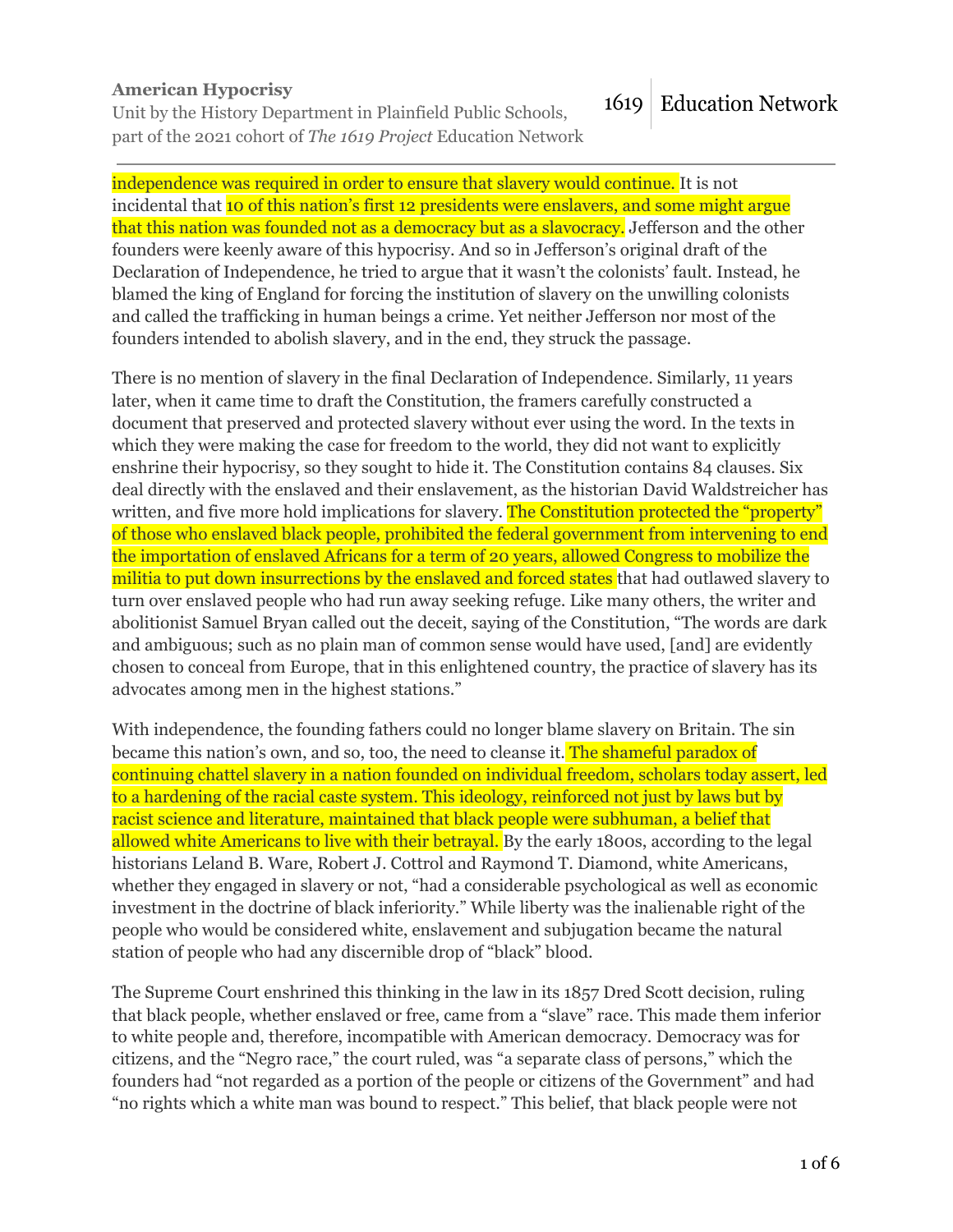### **American Hypocrisy**

Unit by the History Department in Plainfield Public Schools, part of the 2021 cohort of *The 1619 Project* Education Network

independence was required in order to ensure that slavery would continue. It is not incidental that 10 of this nation's first 12 presidents were enslavers, and some might argue that this nation was founded not as a democracy but as a slavocracy. Jefferson and the other founders were keenly aware of this hypocrisy. And so in Jefferson's original draft of the Declaration of Independence, he tried to argue that it wasn't the colonists' fault. Instead, he blamed the king of England for forcing the institution of slavery on the unwilling colonists and called the trafficking in human beings a crime. Yet neither Jefferson nor most of the founders intended to abolish slavery, and in the end, they struck the passage.

There is no mention of slavery in the final Declaration of Independence. Similarly, 11 years later, when it came time to draft the Constitution, the framers carefully constructed a document that preserved and protected slavery without ever using the word. In the texts in which they were making the case for freedom to the world, they did not want to explicitly enshrine their hypocrisy, so they sought to hide it. The Constitution contains 84 clauses. Six deal directly with the enslaved and their enslavement, as the historian David Waldstreicher has written, and five more hold implications for slavery. The Constitution protected the "property" of those who enslaved black people, prohibited the federal government from intervening to end the importation of enslaved Africans for a term of 20 years, allowed Congress to mobilize the militia to put down insurrections by the enslaved and forced states that had outlawed slavery to turn over enslaved people who had run away seeking refuge. Like many others, the writer and abolitionist Samuel Bryan called out the deceit, saying of the Constitution, "The words are dark and ambiguous; such as no plain man of common sense would have used, [and] are evidently chosen to conceal from Europe, that in this enlightened country, the practice of slavery has its advocates among men in the highest stations."

With independence, the founding fathers could no longer blame slavery on Britain. The sin became this nation's own, and so, too, the need to cleanse it. The shameful paradox of continuing chattel slavery in a nation founded on individual freedom, scholars today assert, led to a hardening of the racial caste system. This ideology, reinforced not just by laws but by racist science and literature, maintained that black people were subhuman, a belief that allowed white Americans to live with their betrayal. By the early 1800s, according to the legal historians Leland B. Ware, Robert J. Cottrol and Raymond T. Diamond, white Americans, whether they engaged in slavery or not, "had a considerable psychological as well as economic investment in the doctrine of black inferiority." While liberty was the inalienable right of the people who would be considered white, enslavement and subjugation became the natural station of people who had any discernible drop of "black" blood.

The Supreme Court enshrined this thinking in the law in its 1857 Dred Scott decision, ruling that black people, whether enslaved or free, came from a "slave" race. This made them inferior to white people and, therefore, incompatible with American democracy. Democracy was for citizens, and the "Negro race," the court ruled, was "a separate class of persons," which the founders had "not regarded as a portion of the people or citizens of the Government" and had "no rights which a white man was bound to respect." This belief, that black people were not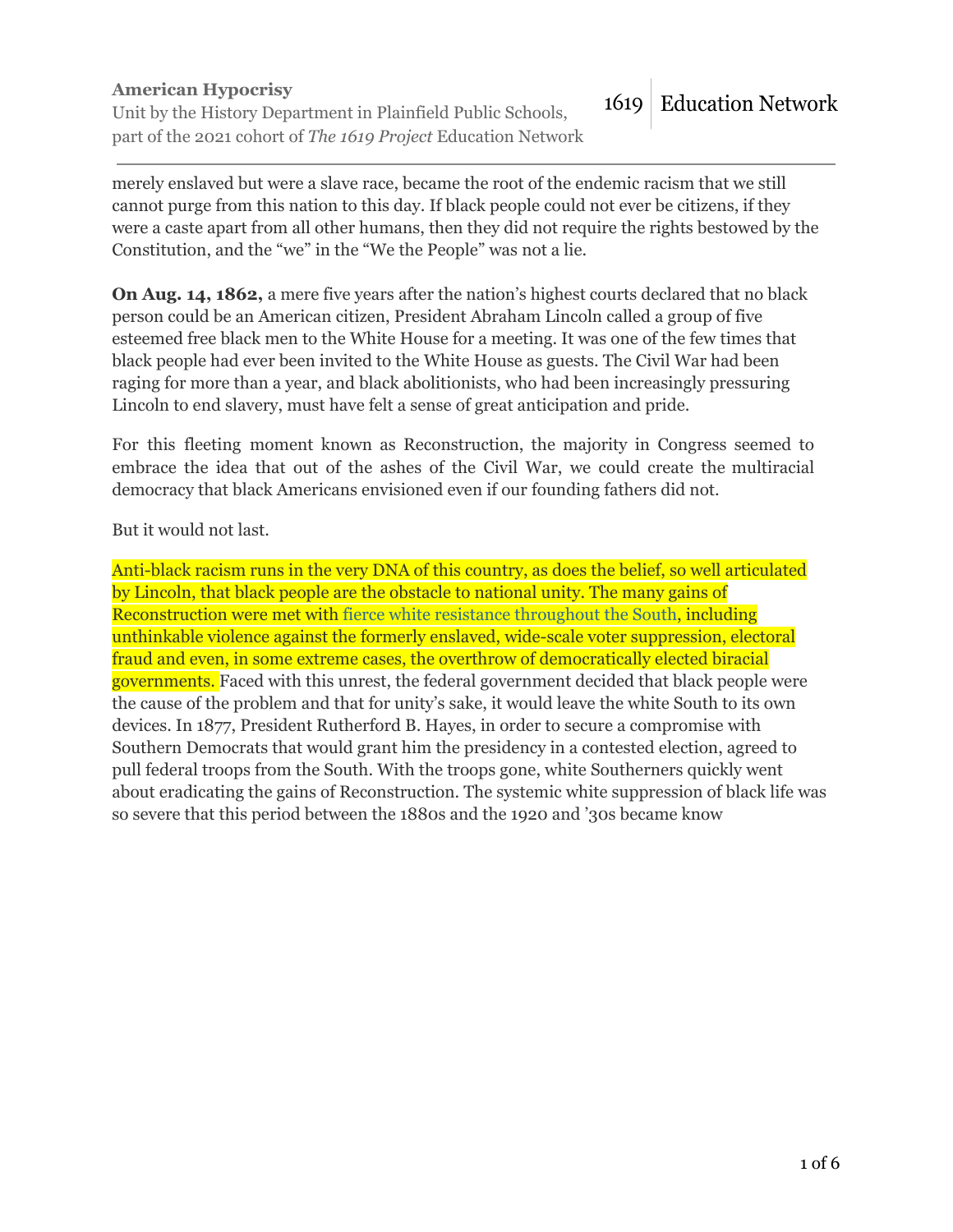merely enslaved but were a slave race, became the root of the endemic racism that we still cannot purge from this nation to this day. If black people could not ever be citizens, if they were a caste apart from all other humans, then they did not require the rights bestowed by the Constitution, and the "we" in the "We the People" was not a lie.

**On Aug. 14, 1862,** a mere five years after the nation's highest courts declared that no black person could be an American citizen, President Abraham Lincoln called a group of five esteemed free black men to the White House for a meeting. It was one of the few times that black people had ever been invited to the White House as guests. The Civil War had been raging for more than a year, and black abolitionists, who had been increasingly pressuring Lincoln to end slavery, must have felt a sense of great anticipation and pride.

For this fleeting moment known as Reconstruction, the majority in Congress seemed to embrace the idea that out of the ashes of the Civil War, we could create the multiracial democracy that black Americans envisioned even if our founding fathers did not.

But it would not last.

Anti-black racism runs in the very DNA of this country, as does the belief, so well articulated by Lincoln, that black people are the obstacle to national unity. The many gains of Reconstruction were met with fierce white resistance throughout the South, including unthinkable violence against the formerly enslaved, wide-scale voter suppression, electoral fraud and even, in some extreme cases, the overthrow of democratically elected biracial governments. Faced with this unrest, the federal government decided that black people were the cause of the problem and that for unity's sake, it would leave the white South to its own devices. In 1877, President Rutherford B. Hayes, in order to secure a compromise with Southern Democrats that would grant him the presidency in a contested election, agreed to pull federal troops from the South. With the troops gone, white Southerners quickly went about eradicating the gains of Reconstruction. The systemic white suppression of black life was so severe that this period between the 1880s and the 1920 and '30s became know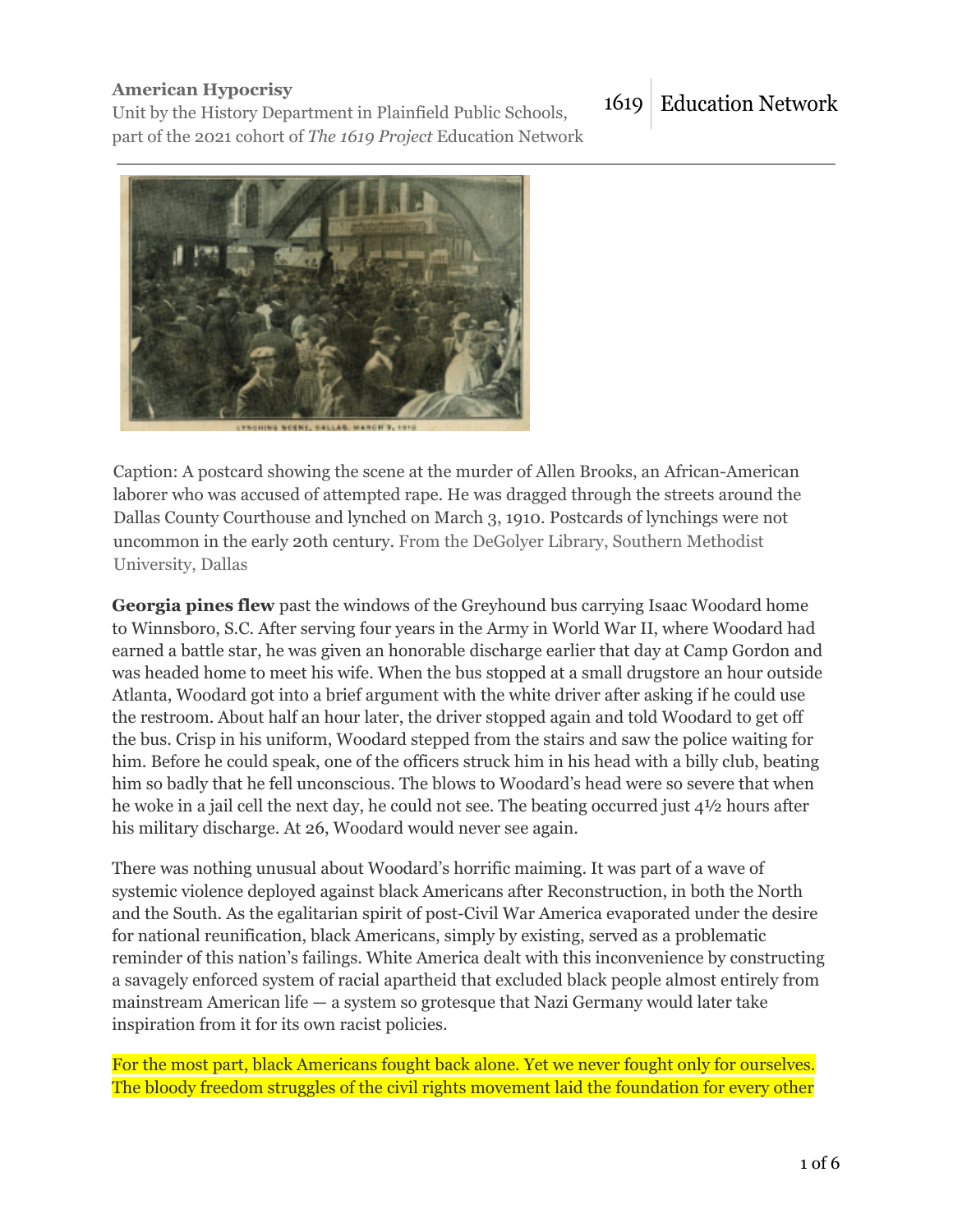### **American Hypocrisy**

Unit by the History Department in Plainfield Public Schools, part of the 2021 cohort of *The 1619 Project* Education Network

#### **Education Network** 1619



Caption: A postcard showing the scene at the murder of Allen Brooks, an African-American laborer who was accused of attempted rape. He was dragged through the streets around the Dallas County Courthouse and lynched on March 3, 1910. Postcards of lynchings were not uncommon in the early 20th century. From the DeGolyer Library, Southern Methodist University, Dallas

**Georgia pines flew** past the windows of the Greyhound bus carrying Isaac Woodard home to Winnsboro, S.C. After serving four years in the Army in World War II, where Woodard had earned a battle star, he was given an honorable discharge earlier that day at Camp Gordon and was headed home to meet his wife. When the bus stopped at a small drugstore an hour outside Atlanta, Woodard got into a brief argument with the white driver after asking if he could use the restroom. About half an hour later, the driver stopped again and told Woodard to get off the bus. Crisp in his uniform, Woodard stepped from the stairs and saw the police waiting for him. Before he could speak, one of the officers struck him in his head with a billy club, beating him so badly that he fell unconscious. The blows to Woodard's head were so severe that when he woke in a jail cell the next day, he could not see. The beating occurred just 4½ hours after his military discharge. At 26, Woodard would never see again.

There was nothing unusual about Woodard's horrific maiming. It was part of a wave of systemic violence deployed against black Americans after Reconstruction, in both the North and the South. As the egalitarian spirit of post-Civil War America evaporated under the desire for national reunification, black Americans, simply by existing, served as a problematic reminder of this nation's failings. White America dealt with this inconvenience by constructing a savagely enforced system of racial apartheid that excluded black people almost entirely from mainstream American life — a system so grotesque that Nazi Germany would later take inspiration from it for its own racist policies.

For the most part, black Americans fought back alone. Yet we never fought only for ourselves. The bloody freedom struggles of the civil rights movement laid the foundation for every other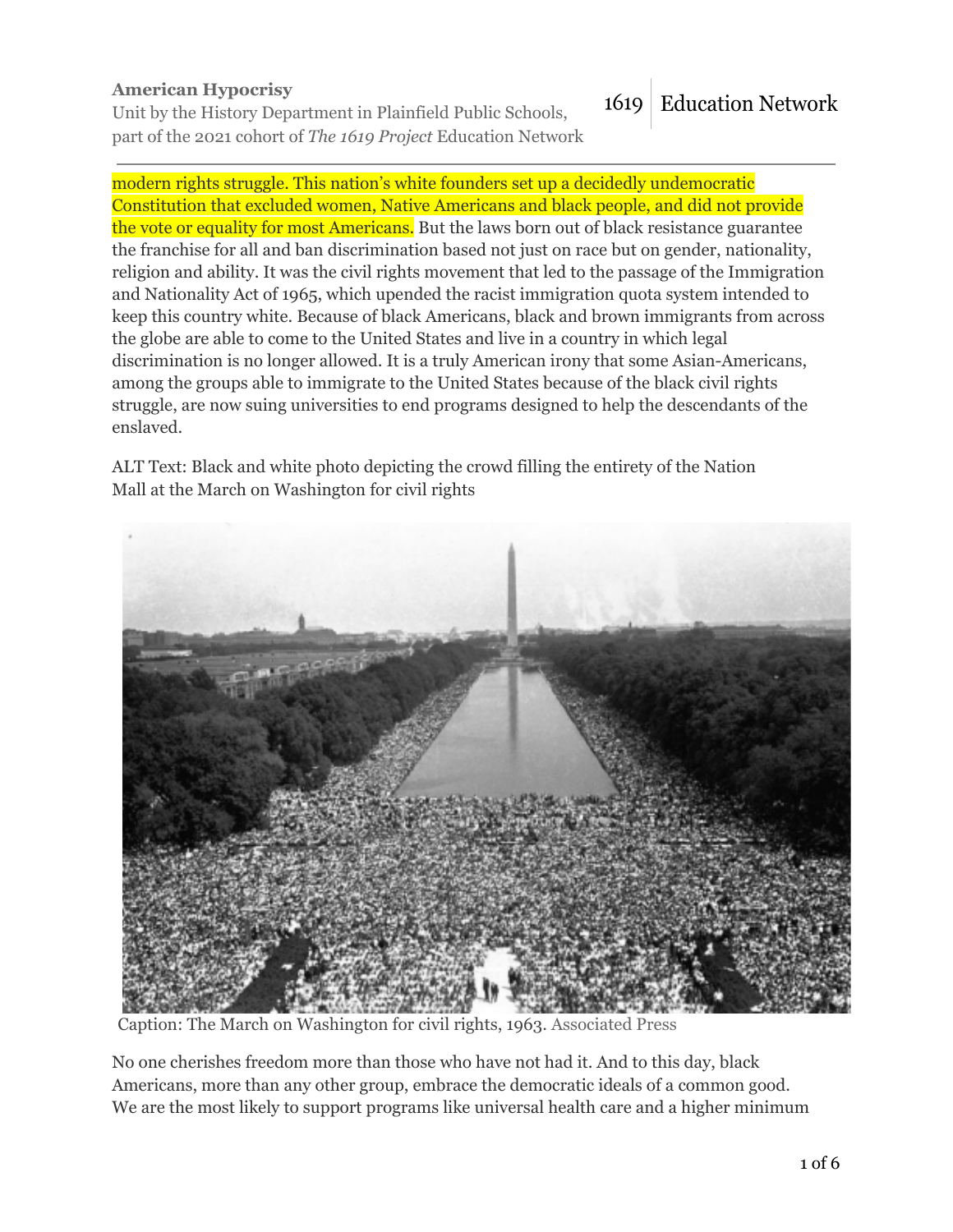### **American Hypocrisy**

Unit by the History Department in Plainfield Public Schools, part of the 2021 cohort of *The 1619 Project* Education Network

modern rights struggle. This nation's white founders set up a decidedly undemocratic Constitution that excluded women, Native Americans and black people, and did not provide the vote or equality for most Americans. But the laws born out of black resistance guarantee the franchise for all and ban discrimination based not just on race but on gender, nationality, religion and ability. It was the civil rights movement that led to the passage of the Immigration and Nationality Act of 1965, which upended the racist immigration quota system intended to keep this country white. Because of black Americans, black and brown immigrants from across the globe are able to come to the United States and live in a country in which legal discrimination is no longer allowed. It is a truly American irony that some Asian-Americans, among the groups able to immigrate to the United States because of the black civil rights struggle, are now suing universities to end programs designed to help the descendants of the enslaved.

ALT Text: Black and white photo depicting the crowd filling the entirety of the Nation Mall at the March on Washington for civil rights



Caption: The March on Washington for civil rights, 1963. Associated Press

No one cherishes freedom more than those who have not had it. And to this day, black Americans, more than any other group, embrace the democratic ideals of a common good. We are the most likely to support programs like universal health care and a higher minimum